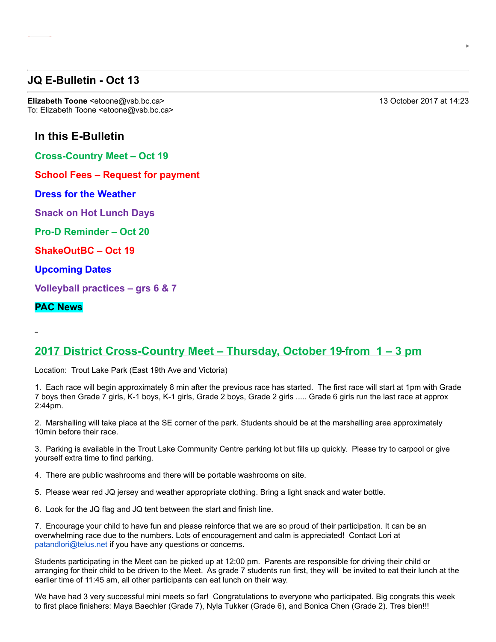## **JQ E-Bulletin - Oct 13**

**Elizabeth Toone** <etoone@vsb.bc.ca> 13 October 2017 at 14:23 To: Elizabeth Toone <etoone@vsb.bc.ca>

**Lu Vo <luvanvo@gmail.com>**

## **In this E-Bulletin**

**Cross-Country Meet – Oct 19** 

**School Fees – Request for payment**

**Dress for the Weather**

**Snack on Hot Lunch Days**

**Pro-D Reminder – Oct 20** 

**ShakeOutBC – Oct 19**

**Upcoming Dates**

**Volleyball practices – grs 6 & 7**

**PAC News**

# **2017 District CrossCountry Meet – Thursday, October 19 from 1 – 3 pm**

Location: Trout Lake Park (East 19th Ave and Victoria)

1. Each race will begin approximately 8 min after the previous race has started. The first race will start at 1pm with Grade 7 boys then Grade 7 girls, K-1 boys, K-1 girls, Grade 2 boys, Grade 2 girls ..... Grade 6 girls run the last race at approx 2:44pm.

2. Marshalling will take place at the SE corner of the park. Students should be at the marshalling area approximately 10min before their race.

3. Parking is available in the Trout Lake Community Centre parking lot but fills up quickly. Please try to carpool or give yourself extra time to find parking.

4. There are public washrooms and there will be portable washrooms on site.

- 5. Please wear red JQ jersey and weather appropriate clothing. Bring a light snack and water bottle.
- 6. Look for the JQ flag and JQ tent between the start and finish line.

7. Encourage your child to have fun and please reinforce that we are so proud of their participation. It can be an overwhelming race due to the numbers. Lots of encouragement and calm is appreciated! Contact Lori at patandlori@telus.net if you have any questions or concerns.

Students participating in the Meet can be picked up at 12:00 pm. Parents are responsible for driving their child or arranging for their child to be driven to the Meet. As grade 7 students run first, they will be invited to eat their lunch at the earlier time of 11:45 am, all other participants can eat lunch on their way.

We have had 3 very successful mini meets so far! Congratulations to everyone who participated. Big congrats this week to first place finishers: Maya Baechler (Grade 7), Nyla Tukker (Grade 6), and Bonica Chen (Grade 2). Tres bien!!!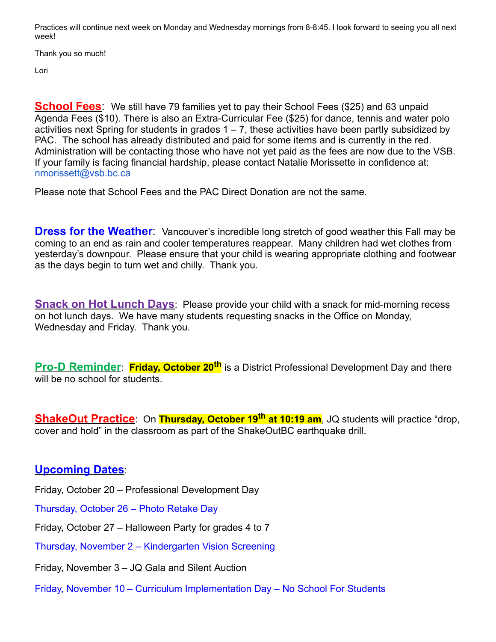Practices will continue next week on Monday and Wednesday mornings from 8-8:45. I look forward to seeing you all next week!

Thank you so much!

Lori

**School Fees**: We still have 79 families yet to pay their School Fees (\$25) and 63 unpaid Agenda Fees (\$10). There is also an Extra-Curricular Fee (\$25) for dance, tennis and water polo activities next Spring for students in grades  $1 - 7$ , these activities have been partly subsidized by PAC. The school has already distributed and paid for some items and is currently in the red. Administration will be contacting those who have not yet paid as the fees are now due to the VSB. If your family is facing financial hardship, please contact Natalie Morissette in confidence at: nmorissett@vsb.bc.ca

Please note that School Fees and the PAC Direct Donation are not the same.

**Dress for the Weather**: Vancouver's incredible long stretch of good weather this Fall may be coming to an end as rain and cooler temperatures reappear. Many children had wet clothes from yesterday's downpour. Please ensure that your child is wearing appropriate clothing and footwear as the days begin to turn wet and chilly. Thank you.

**Snack on Hot Lunch Days:** Please provide your child with a snack for mid-morning recess on hot lunch days. We have many students requesting snacks in the Office on Monday, Wednesday and Friday. Thank you.

**Pro-D Reminder: Friday, October 20<sup>th</sup>** is a District Professional Development Day and there will be no school for students.

**ShakeOut Practice**: On **Thursday, October 19<sup>th</sup> at 10:19 am**, JQ students will practice "drop, cover and hold" in the classroom as part of the ShakeOutBC earthquake drill.

# **Upcoming Dates**:

Friday, October 20 – Professional Development Day

Thursday, October 26 – Photo Retake Day

Friday, October 27 – Halloween Party for grades 4 to 7

Thursday, November 2 – Kindergarten Vision Screening

Friday, November 3 – JQ Gala and Silent Auction

Friday, November 10 – Curriculum Implementation Day – No School For Students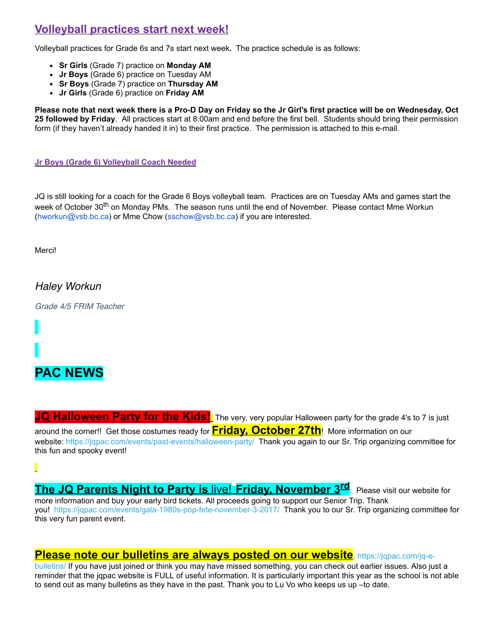# **Volleyball practices start next week!**

Volleyball practices for Grade 6s and 7s start next week**.** The practice schedule is as follows:

- **Sr Girls** (Grade 7) practice on **Monday AM**
- **Jr Boys** (Grade 6) practice on Tuesday AM
- **Sr Boys** (Grade 7) practice on **Thursday AM**
- **Jr Girls** (Grade 6) practice on **Friday AM**

Please note that next week there is a Pro-D Day on Friday so the Jr Girl's first practice will be on Wednesday, Oct **25 followed by Friday**. All practices start at 8:00am and end before the first bell. Students should bring their permission form (if they haven't already handed it in) to their first practice. The permission is attached to this e-mail.

**Jr Boys (Grade 6) Volleyball Coach Needed**

JQ is still looking for a coach for the Grade 6 Boys volleyball team. Practices are on Tuesday AMs and games start the week of October 30<sup>th</sup> on Monday PMs. The season runs until the end of November. Please contact Mme Workun (hworkun@vsb.bc.ca) or Mme Chow (sschow@vsb.bc.ca) if you are interested.

Merci!

### Haley Workun

Grade 4/5 FRIM Teacher

# **PAC NEWS**

**JQ Halloween Party for the Kids!** The very, very popular Halloween party for the grade 4's to 7 is just around the corner!! Get those costumes ready for **Friday, October 27th**! More information on our website: https://jqpac.com/events/past-events/halloween-party/ Thank you again to our Sr. Trip organizing committee for this fun and spooky event!

**The JQ Parents Night to Party is** live! **Friday, November 3rd**. Please visit our website for more information and buy your early bird tickets. All proceeds going to support our Senior Trip. Thank you! https://jqpac.com/events/gala-1980s-pop-fete-november-3-2017/ Thank you to our Sr. Trip organizing committee for this very fun parent event.

#### **Please note our bulletins are always posted on our website**. https://jqpac.com/jqe-

bulletins/ If you have just joined or think you may have missed something, you can check out earlier issues. Also just a reminder that the jqpac website is FULL of useful information. It is particularly important this year as the school is not able to send out as many bulletins as they have in the past. Thank you to Lu Vo who keeps us up –to date.